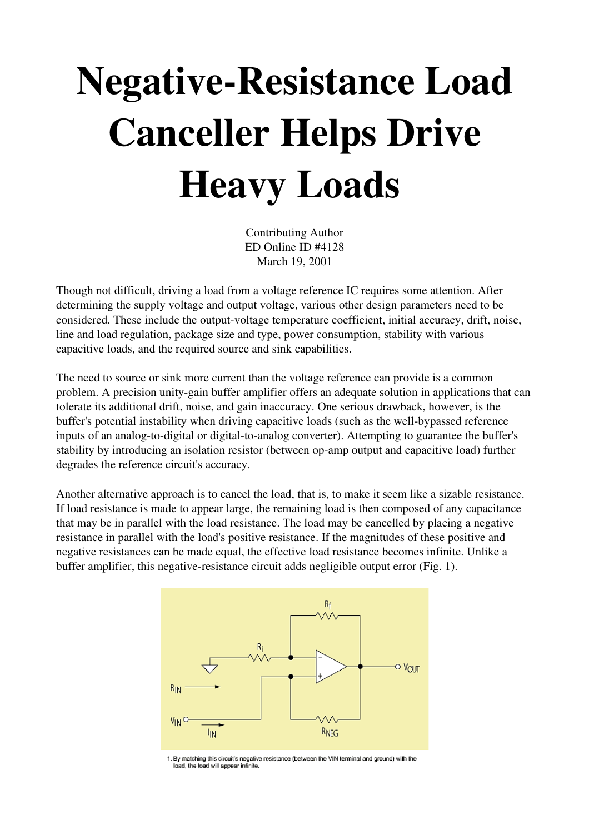## Negative-Resistance Load Canceller Helps Drive Heavy Loads

Contributing Author ED Online ID #4128 March 19, 2001

Though not difficult, driving a load from a voltage reference IC requires some attention. After determining the supply voltage and output voltage, various other design parameters need to be considered. These include the output-voltage temperature coefficient, initial accuracy, drift, noise, line and load regulation, package size and type, power consumption, stability with various capacitive loads, and the required source and sink capabilities.

The need to source or sink more current than the voltage reference can provide is a common problem. A precision unity-gain buffer amplifier offers an adequate solution in applications that can tolerate its additional drift, noise, and gain inaccuracy. One serious drawback, however, is the buffer's potential instability when driving capacitive loads (such as the well-bypassed reference inputs of an analog-to-digital or digital-to-analog converter). Attempting to guarantee the buffer's stability by introducing an isolation resistor (between op-amp output and capacitive load) further degrades the reference circuit's accuracy.

Another alternative approach is to cancel the load, that is, to make it seem like a sizable resistance. If load resistance is made to appear large, the remaining load is then composed of any capacitance that may be in parallel with the load resistance. The load may be cancelled by placing a negative resistance in parallel with the load's positive resistance. If the magnitudes of these positive and negative resistances can be made equal, the effective load resistance becomes infinite. Unlike a buffer amplifier, this negative-resistance circuit adds negligible output error (Fig. 1).



1. By matching this circuit's negative resistance (between the VIN terminal and ground) with the load, the load will appear infinite